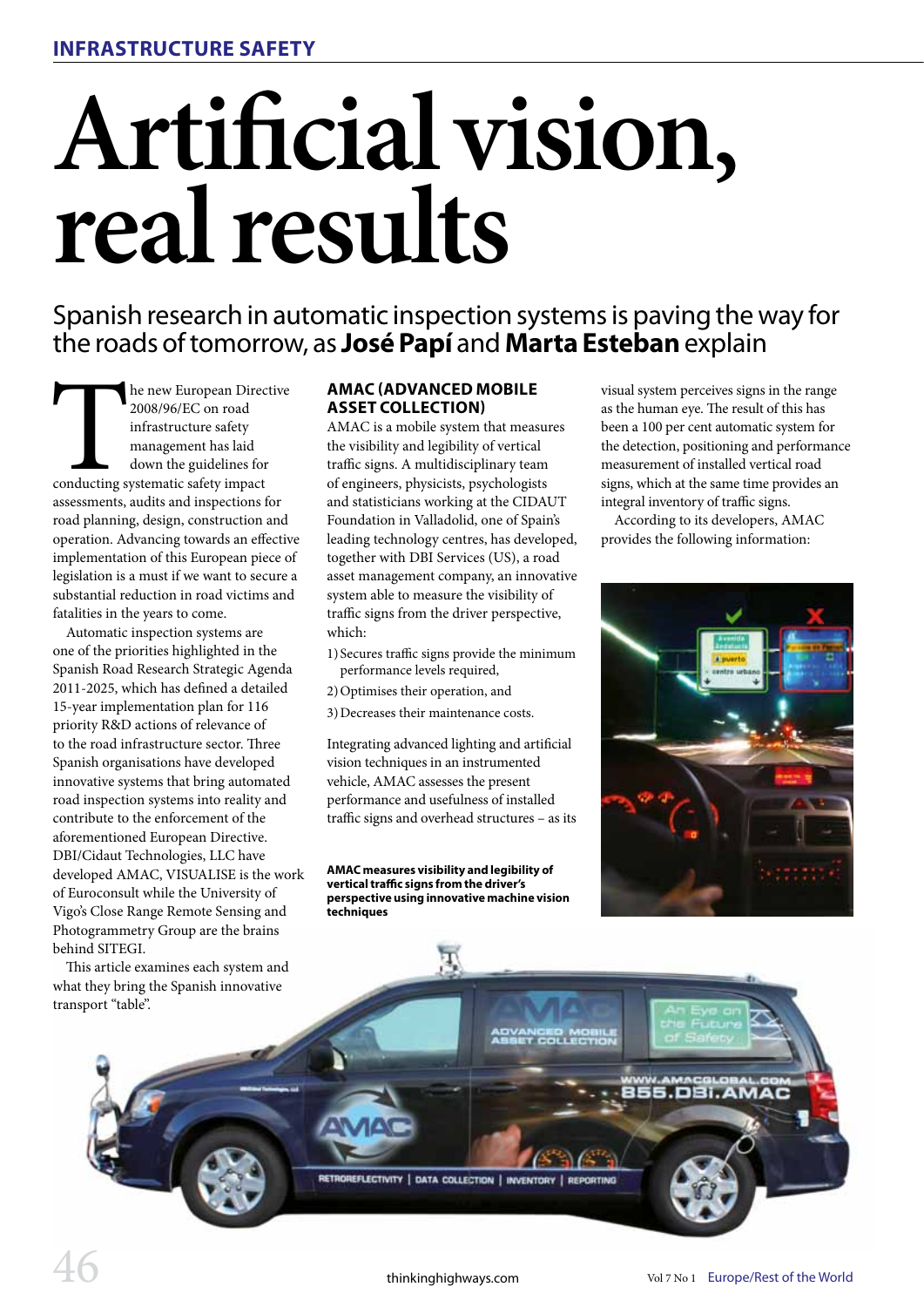# **Artificial vision, real results**

Spanish research in automatic inspection systems is paving the way for the roads of tomorrow, as **José Papí** and **Marta Esteban** explain

The new European Director and infrastructure safety<br>
anagement has laid<br>
down the guidelines for<br>
conducting systematic safety impact<br>
assessments audits and inspections for he new European Directive 2008/96/EC on road infrastructure safety management has laid down the guidelines for assessments, audits and inspections for road planning, design, construction and operation. Advancing towards an effective implementation of this European piece of legislation is a must if we want to secure a substantial reduction in road victims and fatalities in the years to come.

Automatic inspection systems are one of the priorities highlighted in the Spanish Road Research Strategic Agenda 2011-2025, which has defined a detailed 15-year implementation plan for 116 priority R&D actions of relevance of to the road infrastructure sector. Three Spanish organisations have developed innovative systems that bring automated road inspection systems into reality and contribute to the enforcement of the aforementioned European Directive. DBI/Cidaut Technologies, LLC have developed AMAC, VISUALISE is the work of Euroconsult while the University of Vigo's Close Range Remote Sensing and Photogrammetry Group are the brains behind SITEGI.

what they bring the Spanish innovative transport "table".

# **AMAC (Advanced Mobile Asset Collection)**

AMAC is a mobile system that measures the visibility and legibility of vertical traffic signs. A multidisciplinary team of engineers, physicists, psychologists and statisticians working at the CIDAUT Foundation in Valladolid, one of Spain's leading technology centres, has developed, together with DBI Services (US), a road asset management company, an innovative system able to measure the visibility of traffic signs from the driver perspective, which:

- 1) Secures traffic signs provide the minimum performance levels required,
- 2)Optimises their operation, and
- 3)Decreases their maintenance costs.

Integrating advanced lighting and artificial vision techniques in an instrumented vehicle, AMAC assesses the present performance and usefulness of installed traffic signs and overhead structures – as its

**AMAC measures visibility and legibility of vertical traffic signs from the driver's perspective using innovative machine vision techniques**

visual system perceives signs in the range as the human eye. The result of this has been a 100 per cent automatic system for the detection, positioning and performance measurement of installed vertical road signs, which at the same time provides an integral inventory of traffic signs.

According to its developers, AMAC provides the following information:



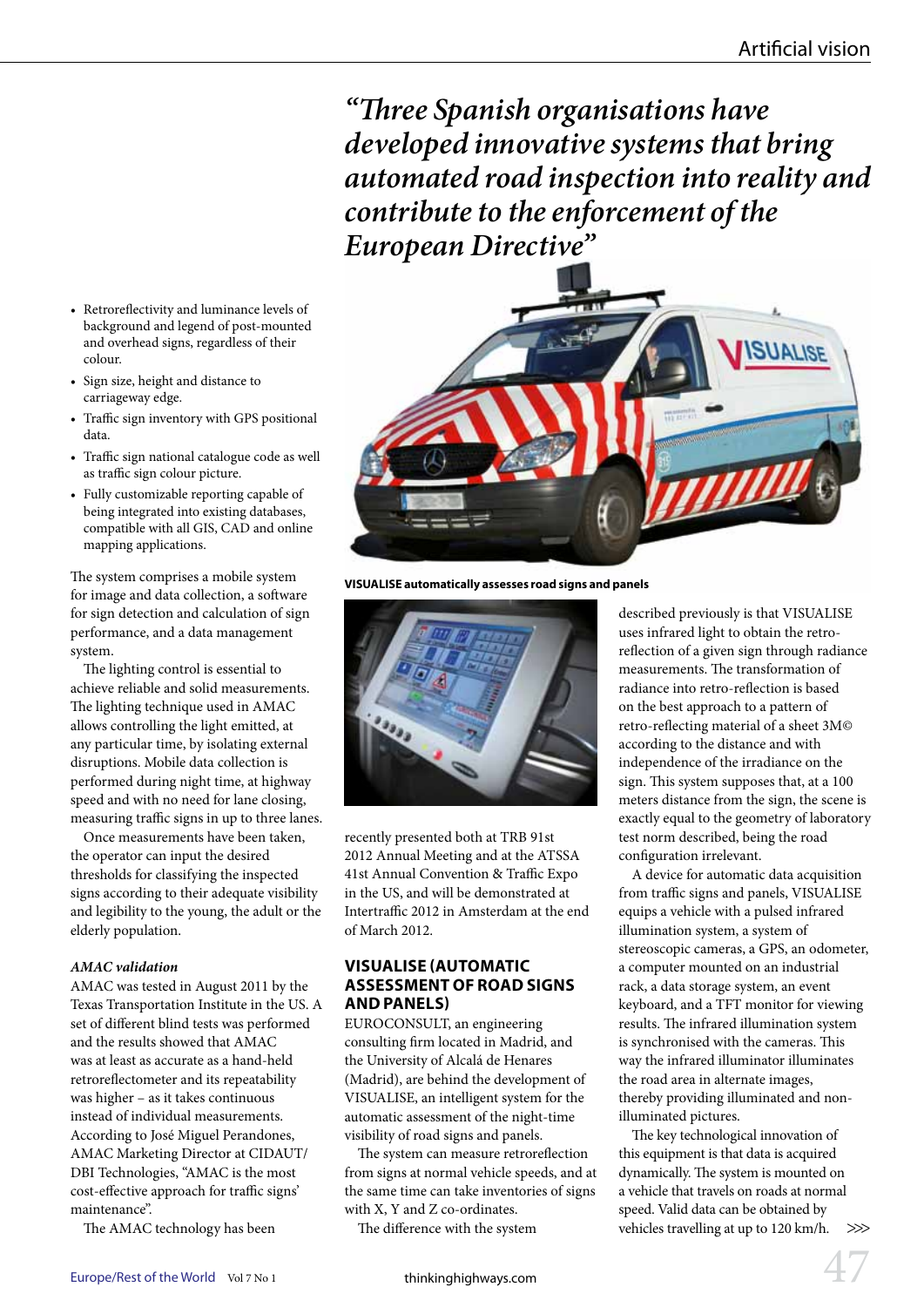*"Three Spanish organisations have developed innovative systems that bring automated road inspection into reality and contribute to the enforcement of the European Directive"*



**VISUALISE automatically assesses road signs and panels**



recently presented both at TRB 91st 2012 Annual Meeting and at the ATSSA 41st Annual Convention & Traffic Expo in the US, and will be demonstrated at Intertraffic 2012 in Amsterdam at the end of March 2012.

# **VISUALISE (Automatic assessment of road signs and panels)**

EUROCONSULT, an engineering consulting firm located in Madrid, and the University of Alcalá de Henares (Madrid), are behind the development of VISUALISE, an intelligent system for the automatic assessment of the night-time visibility of road signs and panels.

The system can measure retroreflection from signs at normal vehicle speeds, and at the same time can take inventories of signs with X, Y and Z co-ordinates.

The difference with the system

described previously is that VISUALISE uses infrared light to obtain the retroreflection of a given sign through radiance measurements. The transformation of radiance into retro-reflection is based on the best approach to a pattern of retro-reflecting material of a sheet 3M© according to the distance and with independence of the irradiance on the sign. This system supposes that, at a 100 meters distance from the sign, the scene is exactly equal to the geometry of laboratory test norm described, being the road configuration irrelevant.

A device for automatic data acquisition from traffic signs and panels, VISUALISE equips a vehicle with a pulsed infrared illumination system, a system of stereoscopic cameras, a GPS, an odometer, a computer mounted on an industrial rack, a data storage system, an event keyboard, and a TFT monitor for viewing results. The infrared illumination system is synchronised with the cameras. This way the infrared illuminator illuminates the road area in alternate images, thereby providing illuminated and nonilluminated pictures.

The key technological innovation of this equipment is that data is acquired dynamically. The system is mounted on a vehicle that travels on roads at normal speed. Valid data can be obtained by vehicles travelling at up to 120 km/h.  $\gg$ 

- • Retroreflectivity and luminance levels of background and legend of post-mounted and overhead signs, regardless of their colour.
- • Sign size, height and distance to carriageway edge.
- • Traffic sign inventory with GPS positional data.
- • Traffic sign national catalogue code as well as traffic sign colour picture.
- • Fully customizable reporting capable of being integrated into existing databases, compatible with all GIS, CAD and online mapping applications.

The system comprises a mobile system for image and data collection, a software for sign detection and calculation of sign performance, and a data management system.

The lighting control is essential to achieve reliable and solid measurements. The lighting technique used in AMAC allows controlling the light emitted, at any particular time, by isolating external disruptions. Mobile data collection is performed during night time, at highway speed and with no need for lane closing, measuring traffic signs in up to three lanes.

Once measurements have been taken, the operator can input the desired thresholds for classifying the inspected signs according to their adequate visibility and legibility to the young, the adult or the elderly population.

## *AMAC validation*

AMAC was tested in August 2011 by the Texas Transportation Institute in the US. A set of different blind tests was performed and the results showed that AMAC was at least as accurate as a hand-held retroreflectometer and its repeatability was higher – as it takes continuous instead of individual measurements. According to José Miguel Perandones, AMAC Marketing Director at CIDAUT/ DBI Technologies, "AMAC is the most cost-effective approach for traffic signs' maintenance".

The AMAC technology has been